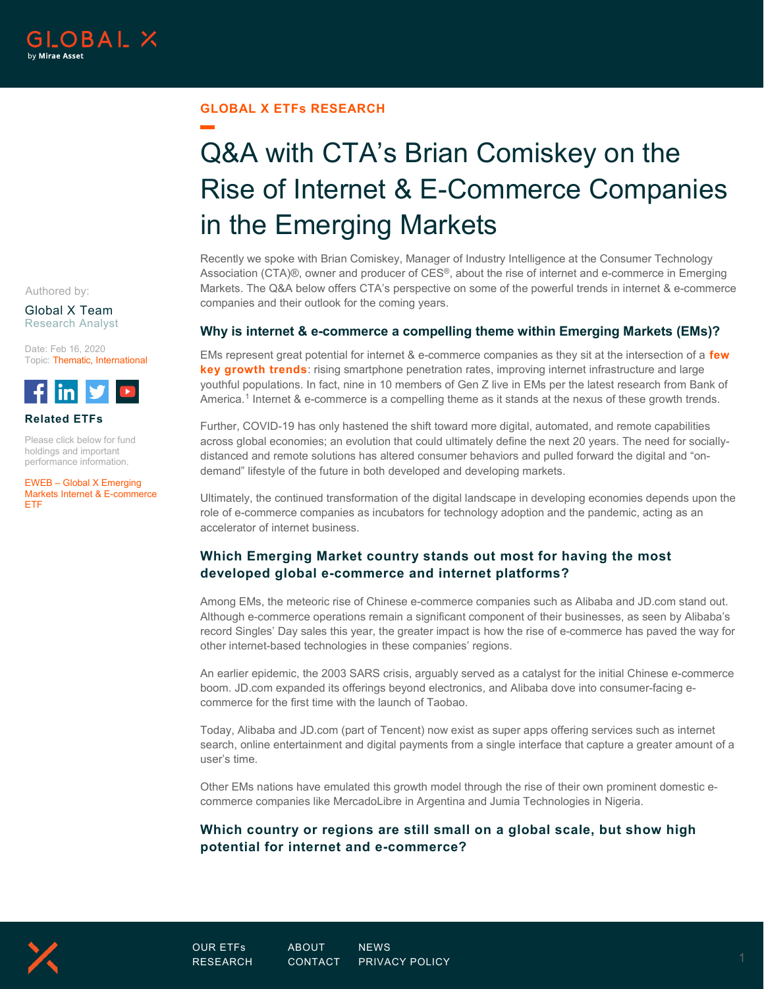

#### **GLOBAL X ETFs RESEARCH**

# Q&A with CTA's Brian Comiskey on the Rise of Internet & E-Commerce Companies in the Emerging Markets

Recently we spoke with Brian Comiskey, Manager of Industry Intelligence at the Consumer Technology Association (CTA)®, owner and producer of CES®, about the rise of internet and e-commerce in Emerging Markets. The Q&A below offers CTA's perspective on some of the powerful trends in internet & e-commerce companies and their outlook for the coming years.

#### **Why is internet & e-commerce a compelling theme within Emerging Markets (EMs)?**

EMs represent great potential for internet & e-commerce companies as they sit at the intersection of a **[few](https://www.globalxetfs.com/introducing-the-global-x-emerging-markets-internet-e-commerce-etf-eweb/)  [key growth trends](https://www.globalxetfs.com/introducing-the-global-x-emerging-markets-internet-e-commerce-etf-eweb/)**: rising smartphone penetration rates, improving internet infrastructure and large youthful populations. In fact, nine in 10 members of Gen Z live in EMs per the latest research from Bank of America.<sup>[1](#page-3-0)</sup> Internet & e-commerce is a compelling theme as it stands at the nexus of these growth trends.

Further, COVID-19 has only hastened the shift toward more digital, automated, and remote capabilities across global economies; an evolution that could ultimately define the next 20 years. The need for sociallydistanced and remote solutions has altered consumer behaviors and pulled forward the digital and "ondemand" lifestyle of the future in both developed and developing markets.

Ultimately, the continued transformation of the digital landscape in developing economies depends upon the role of e-commerce companies as incubators for technology adoption and the pandemic, acting as an accelerator of internet business.

## **Which Emerging Market country stands out most for having the most developed global e-commerce and internet platforms?**

Among EMs, the meteoric rise of Chinese e-commerce companies such as Alibaba and JD.com stand out. Although e-commerce operations remain a significant component of their businesses, as seen by Alibaba's record Singles' Day sales this year, the greater impact is how the rise of e-commerce has paved the way for other internet-based technologies in these companies' regions.

An earlier epidemic, the 2003 SARS crisis, arguably served as a catalyst for the initial Chinese e-commerce boom. JD.com expanded its offerings beyond electronics, and Alibaba dove into consumer-facing ecommerce for the first time with the launch of Taobao.

Today, Alibaba and JD.com (part of Tencent) now exist as super apps offering services such as internet search, online entertainment and digital payments from a single interface that capture a greater amount of a user's time.

Other EMs nations have emulated this growth model through the rise of their own prominent domestic ecommerce companies like MercadoLibre in Argentina and Jumia Technologies in Nigeria.

## **Which country or regions are still small on a global scale, but show high potential for internet and e-commerce?**

Authored by:

Global X Team Research Analyst

Date: Feb 16, 2020 Topic: Thematic, International



#### **Related ETFs**

Please click below for fund holdings and important performance information.

EWEB – [Global X Emerging](https://www.globalxetfs.com/funds/eweb/)  [Markets Internet & E-commerce](https://www.globalxetfs.com/funds/eweb/)  [ETF](https://www.globalxetfs.com/funds/eweb/) 

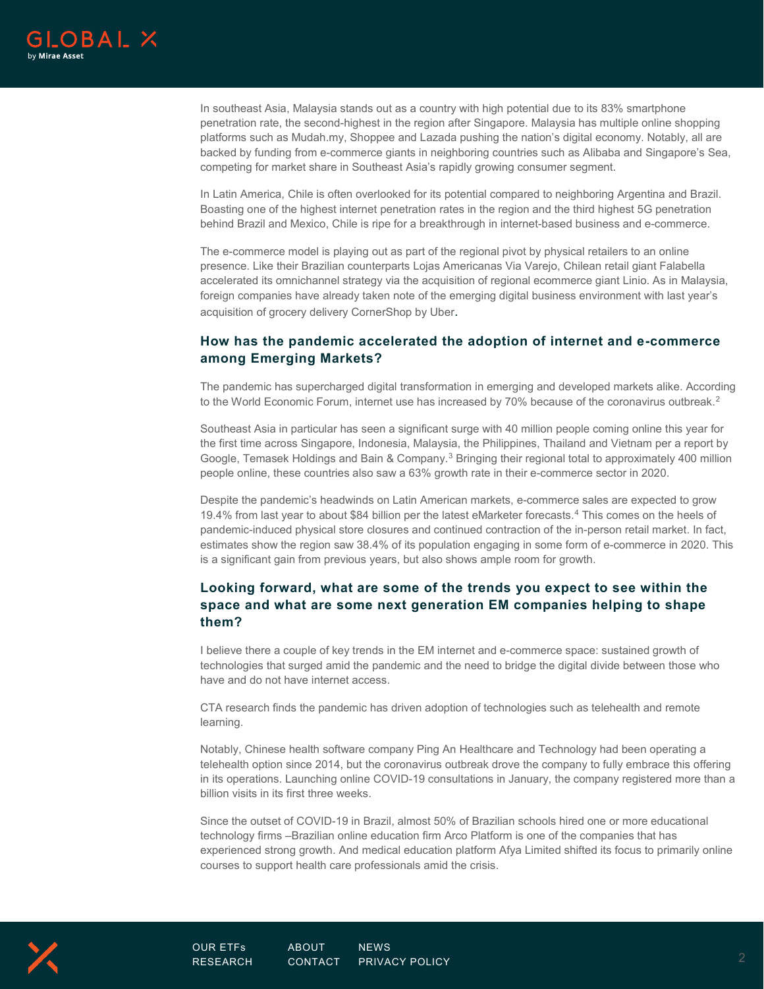

In southeast Asia, Malaysia stands out as a country with high potential due to its 83% smartphone penetration rate, the second-highest in the region after Singapore. Malaysia has multiple online shopping platforms such as Mudah.my, Shoppee and Lazada pushing the nation's digital economy. Notably, all are backed by funding from e-commerce giants in neighboring countries such as Alibaba and Singapore's Sea, competing for market share in Southeast Asia's rapidly growing consumer segment.

In Latin America, Chile is often overlooked for its potential compared to neighboring Argentina and Brazil. Boasting one of the highest internet penetration rates in the region and the third highest 5G penetration behind Brazil and Mexico, Chile is ripe for a breakthrough in internet-based business and e-commerce.

The e-commerce model is playing out as part of the regional pivot by physical retailers to an online presence. Like their Brazilian counterparts Lojas Americanas Via Varejo, Chilean retail giant Falabella accelerated its omnichannel strategy via the acquisition of regional ecommerce giant Linio. As in Malaysia, foreign companies have already taken note of the emerging digital business environment with last year's acquisition of grocery delivery CornerShop by Uber.

# **How has the pandemic accelerated the adoption of internet and e-commerce among Emerging Markets?**

The pandemic has supercharged digital transformation in emerging and developed markets alike. According to the World Economic Forum, internet use has increased by 70% because of the coronavirus outbreak. [2](#page-3-1)

Southeast Asia in particular has seen a significant surge with 40 million people coming online this year for the first time across Singapore, Indonesia, Malaysia, the Philippines, Thailand and Vietnam per a report by Google, Temasek Holdings and Bain & Company.<sup>[3](#page-3-2)</sup> Bringing their regional total to approximately 400 million people online, these countries also saw a 63% growth rate in their e-commerce sector in 2020.

Despite the pandemic's headwinds on Latin American markets, e-commerce sales are expected to grow 19.4% from last year to about \$84 billion per the latest eMarketer forecasts. [4](#page-3-3) This comes on the heels of pandemic-induced physical store closures and continued contraction of the in-person retail market. In fact, estimates show the region saw 38.4% of its population engaging in some form of e-commerce in 2020. This is a significant gain from previous years, but also shows ample room for growth.

# **Looking forward, what are some of the trends you expect to see within the space and what are some next generation EM companies helping to shape them?**

I believe there a couple of key trends in the EM internet and e-commerce space: sustained growth of technologies that surged amid the pandemic and the need to bridge the digital divide between those who have and do not have internet access.

CTA research finds the pandemic has driven adoption of technologies such as telehealth and remote learning.

Notably, Chinese health software company Ping An Healthcare and Technology had been operating a telehealth option since 2014, but the coronavirus outbreak drove the company to fully embrace this offering in its operations. Launching online COVID-19 consultations in January, the company registered more than a billion visits in its first three weeks.

Since the outset of COVID-19 in Brazil, almost 50% of Brazilian schools hired one or more educational technology firms –Brazilian online education firm Arco Platform is one of the companies that has experienced strong growth. And medical education platform Afya Limited shifted its focus to primarily online courses to support health care professionals amid the crisis.

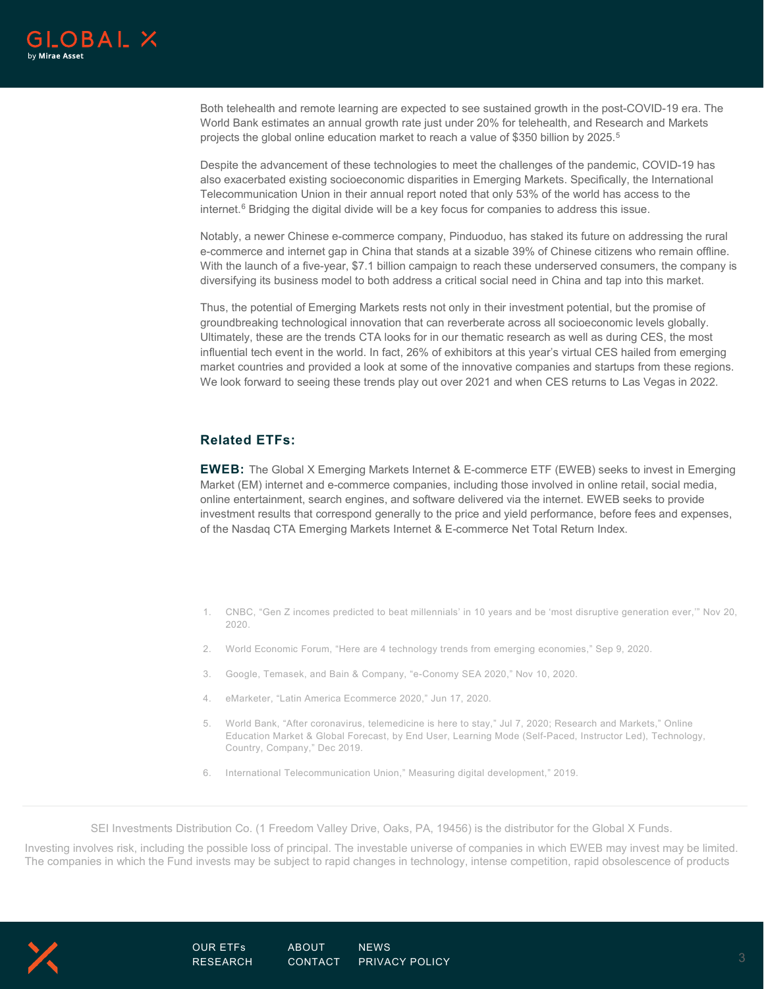

Both telehealth and remote learning are expected to see sustained growth in the post-COVID-19 era. The World Bank estimates an annual growth rate just under 20% for telehealth, and Research and Markets projects the global online education market to reach a value of \$3[5](#page-3-4)0 billion by 2025.<sup>5</sup>

Despite the advancement of these technologies to meet the challenges of the pandemic, COVID-19 has also exacerbated existing socioeconomic disparities in Emerging Markets. Specifically, the International Telecommunication Union in their annual report noted that only 53% of the world has access to the internet.<sup>[6](#page-3-5)</sup> Bridging the digital divide will be a key focus for companies to address this issue.

Notably, a newer Chinese e-commerce company, Pinduoduo, has staked its future on addressing the rural e-commerce and internet gap in China that stands at a sizable 39% of Chinese citizens who remain offline. With the launch of a five-year, \$7.1 billion campaign to reach these underserved consumers, the company is diversifying its business model to both address a critical social need in China and tap into this market.

Thus, the potential of Emerging Markets rests not only in their investment potential, but the promise of groundbreaking technological innovation that can reverberate across all socioeconomic levels globally. Ultimately, these are the trends CTA looks for in our thematic research as well as during CES, the most influential tech event in the world. In fact, 26% of exhibitors at this year's virtual CES hailed from emerging market countries and provided a look at some of the innovative companies and startups from these regions. We look forward to seeing these trends play out over 2021 and when CES returns to Las Vegas in 2022.

## **Related ETFs:**

**EWEB:** The Global X Emerging Markets Internet & E-commerce ETF (EWEB) seeks to invest in Emerging Market (EM) internet and e-commerce companies, including those involved in online retail, social media, online entertainment, search engines, and software delivered via the internet. EWEB seeks to provide investment results that correspond generally to the price and yield performance, before fees and expenses, of the Nasdaq CTA Emerging Markets Internet & E-commerce Net Total Return Index.

- 1. CNBC, "Gen Z incomes predicted to beat millennials' in 10 years and be 'most disruptive generation ever,'" Nov 20, 2020.
- 2. World Economic Forum, "Here are 4 technology trends from emerging economies," Sep 9, 2020.
- 3. Google, Temasek, and Bain & Company, "e-Conomy SEA 2020," Nov 10, 2020.
- 4. eMarketer, "Latin America Ecommerce 2020," Jun 17, 2020.
- 5. World Bank, "After coronavirus, telemedicine is here to stay," Jul 7, 2020; Research and Markets," Online Education Market & Global Forecast, by End User, Learning Mode (Self-Paced, Instructor Led), Technology, Country, Company," Dec 2019.
- 6. International Telecommunication Union," Measuring digital development," 2019.

SEI Investments Distribution Co. (1 Freedom Valley Drive, Oaks, PA, 19456) is the distributor for the Global X Funds.

Investing involves risk, including the possible loss of principal. The investable universe of companies in which EWEB may invest may be limited. The companies in which the Fund invests may be subject to rapid changes in technology, intense competition, rapid obsolescence of products